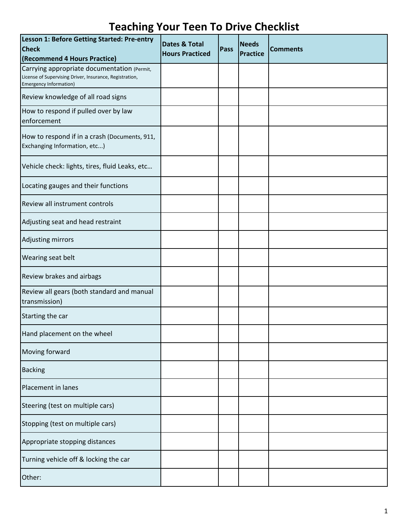| Lesson 1: Before Getting Started: Pre-entry<br><b>Check</b><br>(Recommend 4 Hours Practice)                                             | <b>Dates &amp; Total</b><br><b>Hours Practiced</b> | Pass | <b>Needs</b><br><b>Practice</b> | <b>Comments</b> |
|-----------------------------------------------------------------------------------------------------------------------------------------|----------------------------------------------------|------|---------------------------------|-----------------|
| Carrying appropriate documentation (Permit,<br>License of Supervising Driver, Insurance, Registration,<br><b>Emergency Information)</b> |                                                    |      |                                 |                 |
| Review knowledge of all road signs                                                                                                      |                                                    |      |                                 |                 |
| How to respond if pulled over by law<br>enforcement                                                                                     |                                                    |      |                                 |                 |
| How to respond if in a crash (Documents, 911,<br>Exchanging Information, etc)                                                           |                                                    |      |                                 |                 |
| Vehicle check: lights, tires, fluid Leaks, etc                                                                                          |                                                    |      |                                 |                 |
| Locating gauges and their functions                                                                                                     |                                                    |      |                                 |                 |
| Review all instrument controls                                                                                                          |                                                    |      |                                 |                 |
| Adjusting seat and head restraint                                                                                                       |                                                    |      |                                 |                 |
| Adjusting mirrors                                                                                                                       |                                                    |      |                                 |                 |
| Wearing seat belt                                                                                                                       |                                                    |      |                                 |                 |
| Review brakes and airbags                                                                                                               |                                                    |      |                                 |                 |
| Review all gears (both standard and manual<br>transmission)                                                                             |                                                    |      |                                 |                 |
| Starting the car                                                                                                                        |                                                    |      |                                 |                 |
| Hand placement on the wheel                                                                                                             |                                                    |      |                                 |                 |
| Moving forward                                                                                                                          |                                                    |      |                                 |                 |
| <b>Backing</b>                                                                                                                          |                                                    |      |                                 |                 |
| Placement in lanes                                                                                                                      |                                                    |      |                                 |                 |
| Steering (test on multiple cars)                                                                                                        |                                                    |      |                                 |                 |
| Stopping (test on multiple cars)                                                                                                        |                                                    |      |                                 |                 |
| Appropriate stopping distances                                                                                                          |                                                    |      |                                 |                 |
| Turning vehicle off & locking the car                                                                                                   |                                                    |      |                                 |                 |
| Other:                                                                                                                                  |                                                    |      |                                 |                 |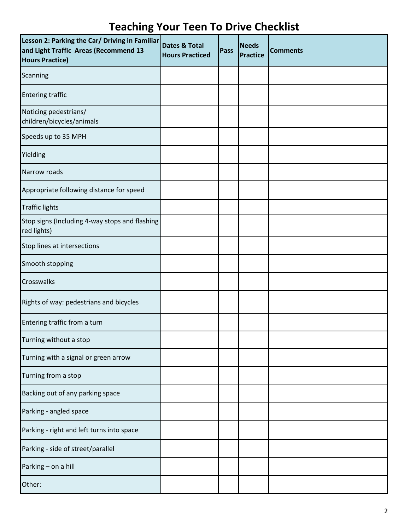| Lesson 2: Parking the Car/ Driving in Familiar<br>and Light Traffic Areas (Recommend 13<br><b>Hours Practice)</b> | Dates & Total<br><b>Hours Practiced</b> | Pass | <b>Needs</b><br><b>Practice</b> | <b>Comments</b> |
|-------------------------------------------------------------------------------------------------------------------|-----------------------------------------|------|---------------------------------|-----------------|
| Scanning                                                                                                          |                                         |      |                                 |                 |
| <b>Entering traffic</b>                                                                                           |                                         |      |                                 |                 |
| Noticing pedestrians/<br>children/bicycles/animals                                                                |                                         |      |                                 |                 |
| Speeds up to 35 MPH                                                                                               |                                         |      |                                 |                 |
| Yielding                                                                                                          |                                         |      |                                 |                 |
| Narrow roads                                                                                                      |                                         |      |                                 |                 |
| Appropriate following distance for speed                                                                          |                                         |      |                                 |                 |
| <b>Traffic lights</b>                                                                                             |                                         |      |                                 |                 |
| Stop signs (Including 4-way stops and flashing<br>red lights)                                                     |                                         |      |                                 |                 |
| Stop lines at intersections                                                                                       |                                         |      |                                 |                 |
| Smooth stopping                                                                                                   |                                         |      |                                 |                 |
| Crosswalks                                                                                                        |                                         |      |                                 |                 |
| Rights of way: pedestrians and bicycles                                                                           |                                         |      |                                 |                 |
| Entering traffic from a turn                                                                                      |                                         |      |                                 |                 |
| Turning without a stop                                                                                            |                                         |      |                                 |                 |
| Turning with a signal or green arrow                                                                              |                                         |      |                                 |                 |
| Turning from a stop                                                                                               |                                         |      |                                 |                 |
| Backing out of any parking space                                                                                  |                                         |      |                                 |                 |
| Parking - angled space                                                                                            |                                         |      |                                 |                 |
| Parking - right and left turns into space                                                                         |                                         |      |                                 |                 |
| Parking - side of street/parallel                                                                                 |                                         |      |                                 |                 |
| Parking - on a hill                                                                                               |                                         |      |                                 |                 |
| Other:                                                                                                            |                                         |      |                                 |                 |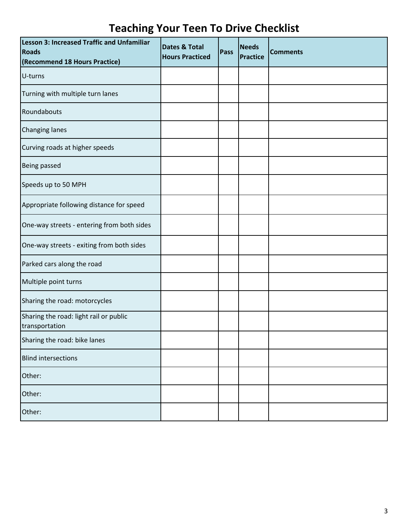| Lesson 3: Increased Traffic and Unfamiliar<br><b>Roads</b><br>(Recommend 18 Hours Practice) | <b>Dates &amp; Total</b><br><b>Hours Practiced</b> | Pass | <b>Needs</b><br><b>Practice</b> | <b>Comments</b> |
|---------------------------------------------------------------------------------------------|----------------------------------------------------|------|---------------------------------|-----------------|
| U-turns                                                                                     |                                                    |      |                                 |                 |
| Turning with multiple turn lanes                                                            |                                                    |      |                                 |                 |
| Roundabouts                                                                                 |                                                    |      |                                 |                 |
| <b>Changing lanes</b>                                                                       |                                                    |      |                                 |                 |
| Curving roads at higher speeds                                                              |                                                    |      |                                 |                 |
| Being passed                                                                                |                                                    |      |                                 |                 |
| Speeds up to 50 MPH                                                                         |                                                    |      |                                 |                 |
| Appropriate following distance for speed                                                    |                                                    |      |                                 |                 |
| One-way streets - entering from both sides                                                  |                                                    |      |                                 |                 |
| One-way streets - exiting from both sides                                                   |                                                    |      |                                 |                 |
| Parked cars along the road                                                                  |                                                    |      |                                 |                 |
| Multiple point turns                                                                        |                                                    |      |                                 |                 |
| Sharing the road: motorcycles                                                               |                                                    |      |                                 |                 |
| Sharing the road: light rail or public<br>transportation                                    |                                                    |      |                                 |                 |
| Sharing the road: bike lanes                                                                |                                                    |      |                                 |                 |
| <b>Blind intersections</b>                                                                  |                                                    |      |                                 |                 |
| Other:                                                                                      |                                                    |      |                                 |                 |
| Other:                                                                                      |                                                    |      |                                 |                 |
| Other:                                                                                      |                                                    |      |                                 |                 |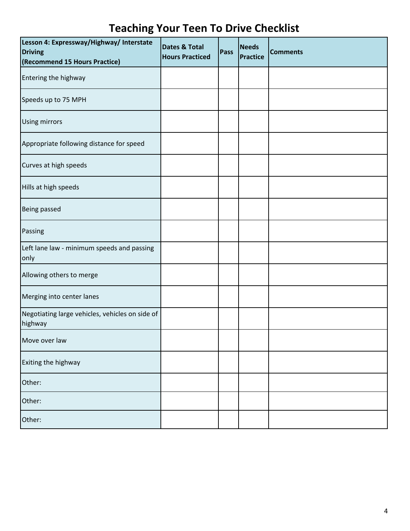| Lesson 4: Expressway/Highway/ Interstate<br><b>Driving</b><br>(Recommend 15 Hours Practice) | <b>Dates &amp; Total</b><br><b>Hours Practiced</b> | Pass | <b>Needs</b><br><b>Practice</b> | <b>Comments</b> |
|---------------------------------------------------------------------------------------------|----------------------------------------------------|------|---------------------------------|-----------------|
| Entering the highway                                                                        |                                                    |      |                                 |                 |
| Speeds up to 75 MPH                                                                         |                                                    |      |                                 |                 |
| <b>Using mirrors</b>                                                                        |                                                    |      |                                 |                 |
| Appropriate following distance for speed                                                    |                                                    |      |                                 |                 |
| Curves at high speeds                                                                       |                                                    |      |                                 |                 |
| Hills at high speeds                                                                        |                                                    |      |                                 |                 |
| <b>Being passed</b>                                                                         |                                                    |      |                                 |                 |
| Passing                                                                                     |                                                    |      |                                 |                 |
| Left lane law - minimum speeds and passing<br>only                                          |                                                    |      |                                 |                 |
| Allowing others to merge                                                                    |                                                    |      |                                 |                 |
| Merging into center lanes                                                                   |                                                    |      |                                 |                 |
| Negotiating large vehicles, vehicles on side of<br>highway                                  |                                                    |      |                                 |                 |
| Move over law                                                                               |                                                    |      |                                 |                 |
| Exiting the highway                                                                         |                                                    |      |                                 |                 |
| Other:                                                                                      |                                                    |      |                                 |                 |
| Other:                                                                                      |                                                    |      |                                 |                 |
| Other:                                                                                      |                                                    |      |                                 |                 |